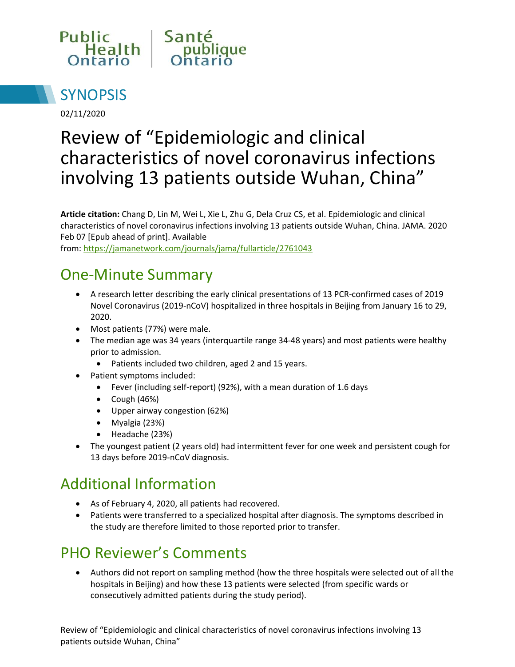



02/11/2020

# Review of "Epidemiologic and clinical characteristics of novel coronavirus infections involving 13 patients outside Wuhan, China"

**Article citation:** Chang D, Lin M, Wei L, Xie L, Zhu G, Dela Cruz CS, et al. Epidemiologic and clinical characteristics of novel coronavirus infections involving 13 patients outside Wuhan, China. JAMA. 2020 Feb 07 [Epub ahead of print]. Available

from: <https://jamanetwork.com/journals/jama/fullarticle/2761043>

#### One-Minute Summary

- A research letter describing the early clinical presentations of 13 PCR-confirmed cases of 2019 Novel Coronavirus (2019-nCoV) hospitalized in three hospitals in Beijing from January 16 to 29, 2020.
- Most patients (77%) were male.
- The median age was 34 years (interquartile range 34-48 years) and most patients were healthy prior to admission.
	- Patients included two children, aged 2 and 15 years.
- Patient symptoms included:
	- Fever (including self-report) (92%), with a mean duration of 1.6 days
	- $\bullet$  Cough (46%)
	- Upper airway congestion (62%)
	- Myalgia (23%)
	- Headache (23%)
- The youngest patient (2 years old) had intermittent fever for one week and persistent cough for 13 days before 2019-nCoV diagnosis.

#### Additional Information

- As of February 4, 2020, all patients had recovered.
- Patients were transferred to a specialized hospital after diagnosis. The symptoms described in the study are therefore limited to those reported prior to transfer.

## PHO Reviewer's Comments

 Authors did not report on sampling method (how the three hospitals were selected out of all the hospitals in Beijing) and how these 13 patients were selected (from specific wards or consecutively admitted patients during the study period).

Review of "Epidemiologic and clinical characteristics of novel coronavirus infections involving 13 patients outside Wuhan, China"